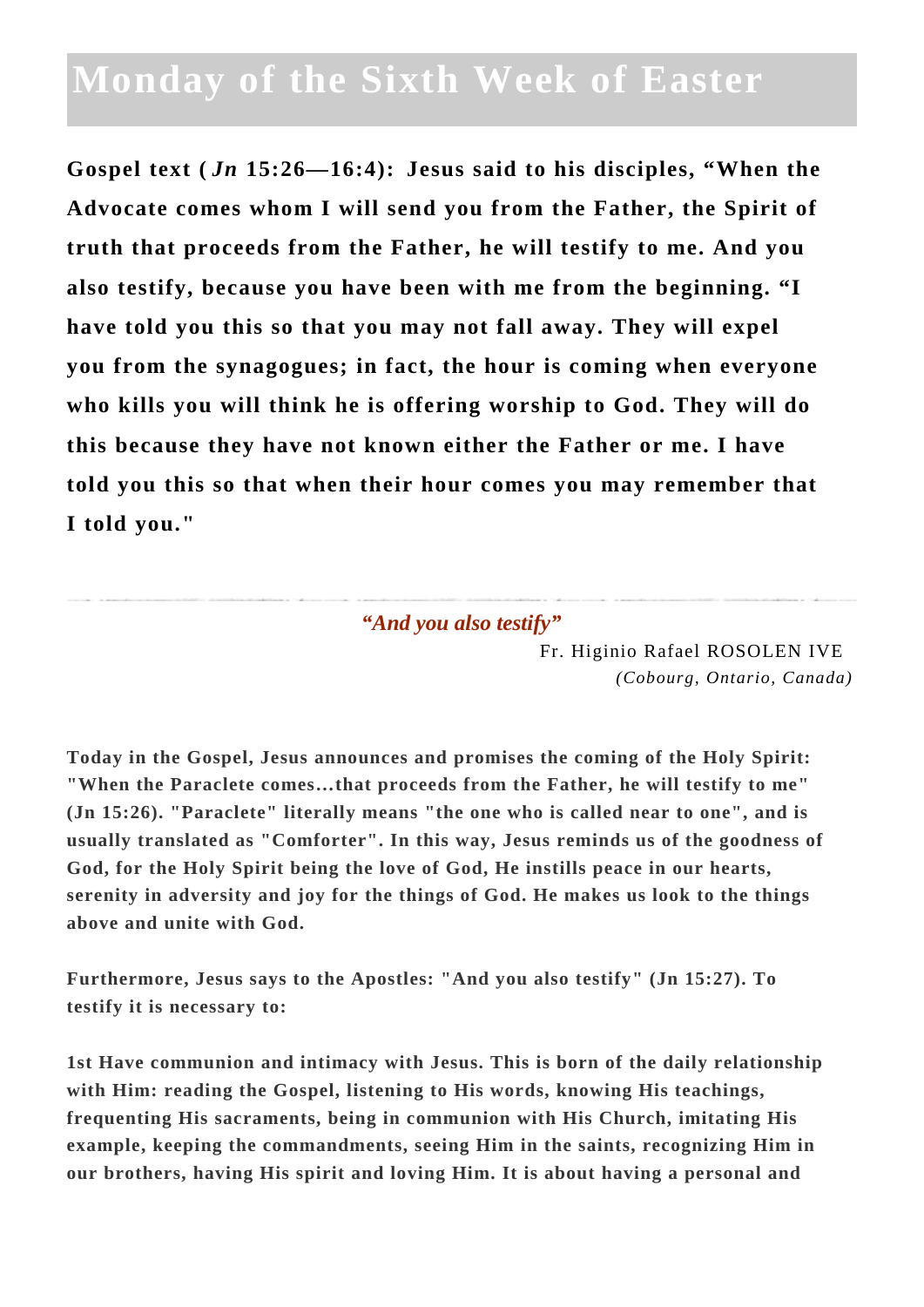## **Monday of the Sixth Week of Easter**

**Gospel text (** *Jn* **15:26—16:4): Jesus said to his disciples, "When the Advocate comes whom I will send you from the Father, the Spirit of truth that proceeds from the Father, he will testify to me. And you also testify, because you have been with me from the beginning. "I have told you this so that you may not fall away. They will expel you from the synagogues; in fact, the hour is coming when everyone who kills you will think he is offering worship to God. They will do this because they have not known either the Father or me. I have told you this so that when their hour comes you may remember that I told you."**

*"And you also testify"*

Fr. Higinio Rafael ROSOLEN IVE *(Cobourg, Ontario, Canada)*

**Today in the Gospel, Jesus announces and promises the coming of the Holy Spirit: "When the Paraclete comes…that proceeds from the Father, he will testify to me" (Jn 15:26). "Paraclete" literally means "the one who is called near to one", and is usually translated as "Comforter". In this way, Jesus reminds us of the goodness of God, for the Holy Spirit being the love of God, He instills peace in our hearts, serenity in adversity and joy for the things of God. He makes us look to the things above and unite with God.**

**Furthermore, Jesus says to the Apostles: "And you also testify" (Jn 15:27). To testify it is necessary to:**

**1st Have communion and intimacy with Jesus. This is born of the daily relationship with Him: reading the Gospel, listening to His words, knowing His teachings, frequenting His sacraments, being in communion with His Church, imitating His example, keeping the commandments, seeing Him in the saints, recognizing Him in our brothers, having His spirit and loving Him. It is about having a personal and**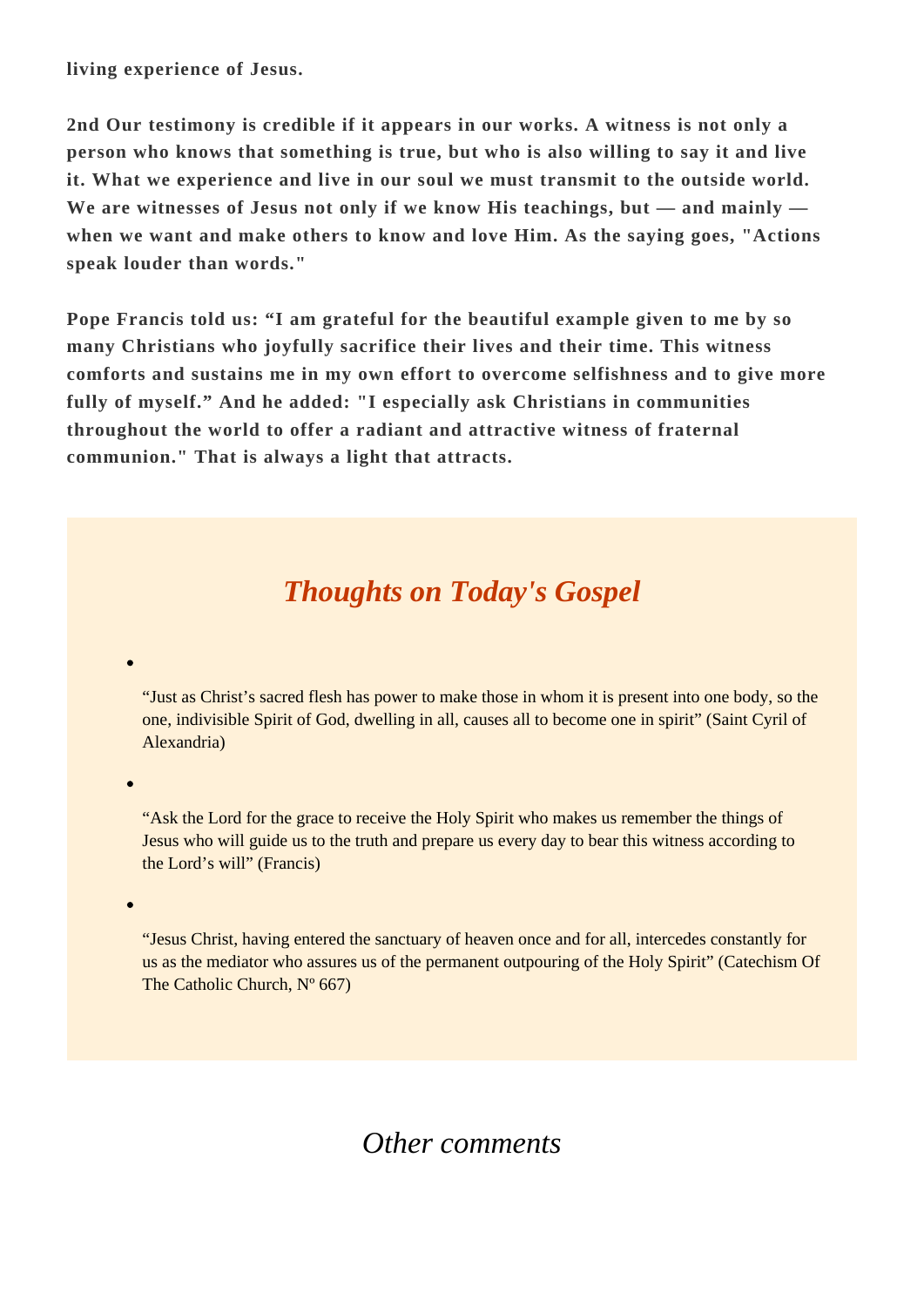**living experience of Jesus.**

**2nd Our testimony is credible if it appears in our works. A witness is not only a person who knows that something is true, but who is also willing to say it and live it. What we experience and live in our soul we must transmit to the outside world. We are witnesses of Jesus not only if we know His teachings, but — and mainly when we want and make others to know and love Him. As the saying goes, "Actions speak louder than words."**

**Pope Francis told us: "I am grateful for the beautiful example given to me by so many Christians who joyfully sacrifice their lives and their time. This witness comforts and sustains me in my own effort to overcome selfishness and to give more fully of myself." And he added: "I especially ask Christians in communities throughout the world to offer a radiant and attractive witness of fraternal communion." That is always a light that attracts.**

## *Thoughts on Today's Gospel*

"Just as Christ's sacred flesh has power to make those in whom it is present into one body, so the one, indivisible Spirit of God, dwelling in all, causes all to become one in spirit" (Saint Cyril of Alexandria)

"Ask the Lord for the grace to receive the Holy Spirit who makes us remember the things of Jesus who will guide us to the truth and prepare us every day to bear this witness according to the Lord's will" (Francis)

"Jesus Christ, having entered the sanctuary of heaven once and for all, intercedes constantly for us as the mediator who assures us of the permanent outpouring of the Holy Spirit" (Catechism Of The Catholic Church,  $N^{\circ}$  667)

## *Other comments*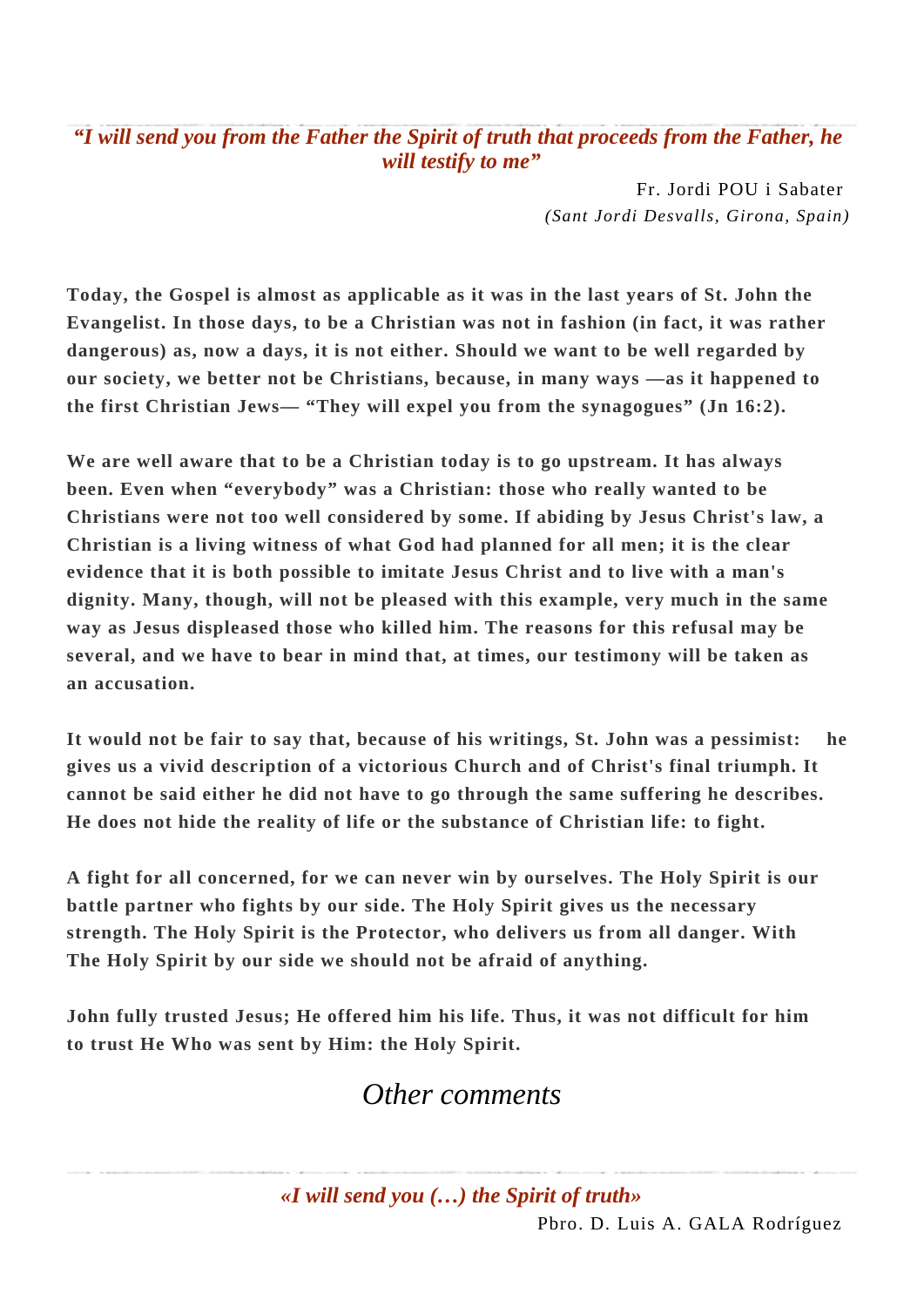*"I will send you from the Father the Spirit of truth that proceeds from the Father, he will testify to me"*

> Fr. Jordi POU i Sabater *(Sant Jordi Desvalls, Girona, Spain)*

**Today, the Gospel is almost as applicable as it was in the last years of St. John the Evangelist. In those days, to be a Christian was not in fashion (in fact, it was rather dangerous) as, now a days, it is not either. Should we want to be well regarded by our society, we better not be Christians, because, in many ways —as it happened to the first Christian Jews— "They will expel you from the synagogues" (Jn 16:2).**

**We are well aware that to be a Christian today is to go upstream. It has always been. Even when "everybody" was a Christian: those who really wanted to be Christians were not too well considered by some. If abiding by Jesus Christ's law, a Christian is a living witness of what God had planned for all men; it is the clear evidence that it is both possible to imitate Jesus Christ and to live with a man's dignity. Many, though, will not be pleased with this example, very much in the same way as Jesus displeased those who killed him. The reasons for this refusal may be several, and we have to bear in mind that, at times, our testimony will be taken as an accusation.** 

**It would not be fair to say that, because of his writings, St. John was a pessimist: he gives us a vivid description of a victorious Church and of Christ's final triumph. It cannot be said either he did not have to go through the same suffering he describes. He does not hide the reality of life or the substance of Christian life: to fight.**

**A fight for all concerned, for we can never win by ourselves. The Holy Spirit is our battle partner who fights by our side. The Holy Spirit gives us the necessary strength. The Holy Spirit is the Protector, who delivers us from all danger. With The Holy Spirit by our side we should not be afraid of anything.**

**John fully trusted Jesus; He offered him his life. Thus, it was not difficult for him to trust He Who was sent by Him: the Holy Spirit.**

## *Other comments*